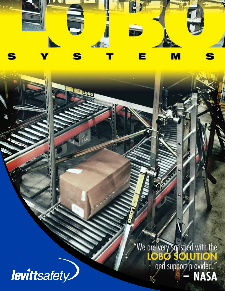

"We are very sarisfied with the<br> **LOBO SOLUTION**<br>
and support provided."<br> **NASA** 

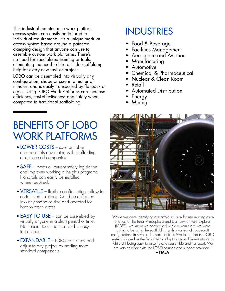This industrial maintenance work platform access system can easily be tailored to individual requirements. It's a unique modular access system based around a patented clamping design that anyone can use to assemble custom work platforms. There's no need for specialized training or tools, eliminating the need to hire outside scaffolding help for every new task or project.

LOBO can be assembled into virtually any configuration, shape or size in a matter of minutes, and is easily transported by flat-pack or crate. Using LOBO Work Platforms can increase efficiency, cost-effectiveness and safety when compared to traditional scaffolding.

## BENEFITS OF LOBO WORK PLATFORMS

- LOWER COSTS save on labor and materials associated with scaffolding or outsourced companies.
- **SAFE** meets all current safety legislation and improves working at-heights programs. Handrails can easily be installed where required.
- **VERSATILE** flexible configurations allow for customized solutions. Can be configured into any shape or size and adapted for hard-to-reach areas.
- **EASY TO USE** can be assembled by virtually anyone in a short period of time. No special tools required and is easy to transport.
- **EXPANDABLE** LOBO can grow and adjust to any project by adding more standard components.

## INDUSTRIES

- Food & Beverage
- Facilities Management
- Aerospace and Aviation
- Manufacturing
- Automotive
- Chemical & Pharmaceutical
- Nuclear & Clean Room
- Retail
- Automated Distribution
- **Energy**
- Mining



"While we were identifying a scaffold solution for use in integration and test of the Lunar Atmosphere and Dust Environment Explorer (LADEE), we knew we needed a flexible system since we were going to be using the scaffolding with a variety of spacecraft configurations in several different facilities. We found that the LOBO system allowed us the flexibility to adapt to these different situations while still being easy to assemble/disassemble and transport. We are very satisfied with the LOBO solution and support provided."

– NASA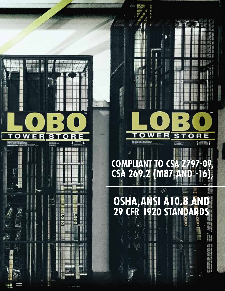